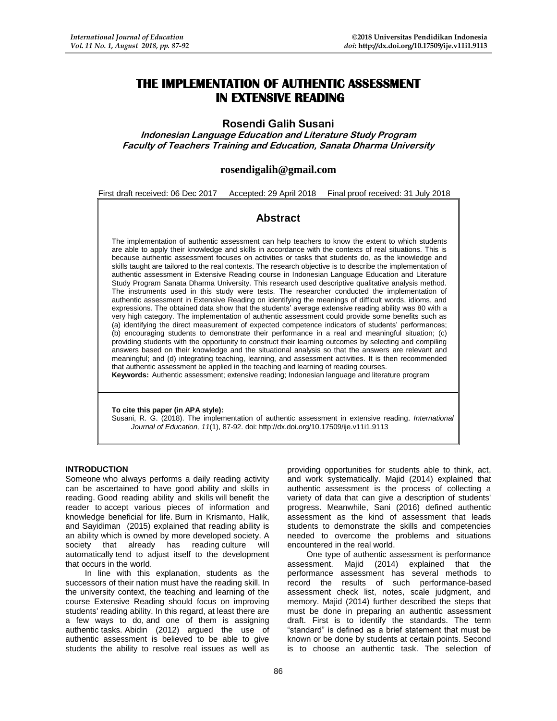# **THE IMPLEMENTATION OF AUTHENTIC ASSESSMENT IN EXTENSIVE READING**

# **Rosendi Galih Susani**

**Indonesian Language Education and Literature Study Program Faculty of Teachers Training and Education, Sanata Dharma University**

# **[rosendigalih@gmail.com](mailto:rosendigalih@gmail.com)**

First draft received: 06 Dec 2017 Accepted: 29 April 2018 Final proof received: 31 July 2018

# **Abstract**

The implementation of authentic assessment can help teachers to know the extent to which students are able to apply their knowledge and skills in accordance with the contexts of real situations. This is because authentic assessment focuses on activities or tasks that students do, as the knowledge and skills taught are tailored to the real contexts. The research objective is to describe the implementation of authentic assessment in Extensive Reading course in Indonesian Language Education and Literature Study Program Sanata Dharma University. This research used descriptive qualitative analysis method. The instruments used in this study were tests. The researcher conducted the implementation of authentic assessment in Extensive Reading on identifying the meanings of difficult words, idioms, and expressions. The obtained data show that the students' average extensive reading ability was 80 with a very high category. The implementation of authentic assessment could provide some benefits such as (a) identifying the direct measurement of expected competence indicators of students' performances; (b) encouraging students to demonstrate their performance in a real and meaningful situation; (c) providing students with the opportunity to construct their learning outcomes by selecting and compiling answers based on their knowledge and the situational analysis so that the answers are relevant and meaningful; and (d) integrating teaching, learning, and assessment activities. It is then recommended that authentic assessment be applied in the teaching and learning of reading courses.

**Keywords:** Authentic assessment; extensive reading; Indonesian language and literature program

#### **To cite this paper (in APA style):**

Susani, R. G. (2018). The implementation of authentic assessment in extensive reading. *International Journal of Education, 11*(1), 87-92. doi: http://dx.doi.org/10.17509/ije.v11i1.9113

#### **INTRODUCTION**

Someone who always performs a daily reading activity can be ascertained to have good ability and skills in reading. Good reading ability and skills will benefit the reader to accept various pieces of information and knowledge beneficial for life. Burn in Krismanto, Halik, and Sayidiman (2015) explained that reading ability is an ability which is owned by more developed society. A society that already has reading culture will automatically tend to adjust itself to the development that occurs in the world.

In line with this explanation, students as the successors of their nation must have the reading skill. In the university context, the teaching and learning of the course Extensive Reading should focus on improving students' reading ability. In this regard, at least there are a few ways to do, and one of them is assigning authentic tasks. Abidin (2012) argued the use of authentic assessment is believed to be able to give students the ability to resolve real issues as well as

providing opportunities for students able to think, act, and work systematically. Majid (2014) explained that authentic assessment is the process of collecting a variety of data that can give a description of students' progress. Meanwhile, Sani (2016) defined authentic assessment as the kind of assessment that leads students to demonstrate the skills and competencies needed to overcome the problems and situations encountered in the real world.

One type of authentic assessment is performance assessment. Majid (2014) explained that the performance assessment has several methods to record the results of such performance-based assessment check list, notes, scale judgment, and memory. Majid (2014) further described the steps that must be done in preparing an authentic assessment draft. First is to identify the standards. The term "standard" is defined as a brief statement that must be known or be done by students at certain points. Second is to choose an authentic task. The selection of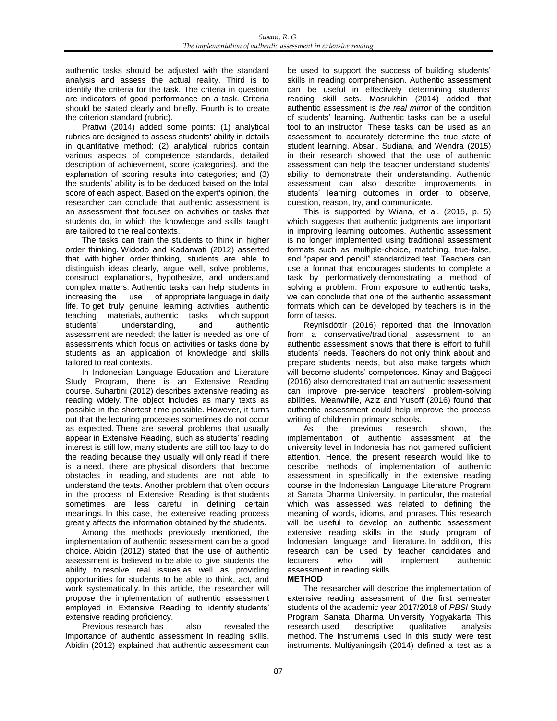authentic tasks should be adjusted with the standard analysis and assess the actual reality. Third is to identify the criteria for the task. The criteria in question are indicators of good performance on a task. Criteria should be stated clearly and briefly. Fourth is to create the criterion standard (rubric).

Pratiwi (2014) added some points: (1) analytical rubrics are designed to assess students' ability in details in quantitative method; (2) analytical rubrics contain various aspects of competence standards, detailed description of achievement, score (categories), and the explanation of scoring results into categories; and (3) the students' ability is to be deduced based on the total score of each aspect. Based on the expert's opinion, the researcher can conclude that authentic assessment is an assessment that focuses on activities or tasks that students do, in which the knowledge and skills taught are tailored to the real contexts.

The tasks can train the students to think in higher order thinking*.* Widodo and Kadarwati (2012) asserted that with higher order thinking*,* students are able to distinguish ideas clearly, argue well, solve problems, construct explanations, hypothesize, and understand complex matters. Authentic tasks can help students in increasing the use of appropriate language in daily life. To get truly genuine learning activities, authentic teaching materials, authentic tasks which support students' understanding, and authentic assessment are needed; the latter is needed as one of assessments which focus on activities or tasks done by students as an application of knowledge and skills tailored to real contexts.

In Indonesian Language Education and Literature Study Program, there is an Extensive Reading course. Suhartini (2012) describes extensive reading as reading widely. The object includes as many texts as possible in the shortest time possible. However, it turns out that the lecturing processes sometimes do not occur as expected. There are several problems that usually appear in Extensive Reading, such as students' reading interest is still low, many students are still too lazy to do the reading because they usually will only read if there is a need, there are physical disorders that become obstacles in reading, and students are not able to understand the texts. Another problem that often occurs in the process of Extensive Reading is that students sometimes are less careful in defining certain meanings. In this case, the extensive reading process greatly affects the information obtained by the students.

Among the methods previously mentioned, the implementation of authentic assessment can be a good choice. Abidin (2012) stated that the use of authentic assessment is believed to be able to give students the ability to resolve real issues as well as providing opportunities for students to be able to think, act, and work systematically. In this article, the researcher will propose the implementation of authentic assessment employed in Extensive Reading to identify students' extensive reading proficiency.

Previous research has also revealed the importance of authentic assessment in reading skills. Abidin (2012) explained that authentic assessment can

be used to support the success of building students' skills in reading comprehension. Authentic assessment can be useful in effectively determining students' reading skill sets. Masrukhin (2014) added that authentic assessment is *the real mirror* of the condition of students' learning. Authentic tasks can be a useful tool to an instructor. These tasks can be used as an assessment to accurately determine the true state of student learning. Absari, Sudiana, and Wendra (2015) in their research showed that the use of authentic assessment can help the teacher understand students' ability to demonstrate their understanding. Authentic assessment can also describe improvements in students' learning outcomes in order to observe, question, reason, try, and communicate.

This is supported by Wiana, et al. (2015, p. 5) which suggests that authentic judgments are important in improving learning outcomes. Authentic assessment is no longer implemented using traditional assessment formats such as multiple-choice, matching, true-false, and "paper and pencil" standardized test. Teachers can use a format that encourages students to complete a task by performatively demonstrating a method of solving a problem. From exposure to authentic tasks, we can conclude that one of the authentic assessment formats which can be developed by teachers is in the form of tasks.

Reynisdóttir (2016) reported that the innovation from a conservative/traditional assessment to an authentic assessment shows that there is effort to fulfill students' needs. Teachers do not only think about and prepare students' needs, but also make targets which will become students' competences. Kinay and Bağçeci (2016) also demonstrated that an authentic assessment can improve pre-service teachers' problem-solving abilities. Meanwhile, Aziz and Yusoff (2016) found that authentic assessment could help improve the process writing of children in primary schools.

As the previous research shown, the implementation of authentic assessment at the university level in Indonesia has not garnered sufficient attention. Hence, the present research would like to describe methods of implementation of authentic assessment in specifically in the extensive reading course in the Indonesian Language Literature Program at Sanata Dharma University. In particular, the material which was assessed was related to defining the meaning of words, idioms, and phrases. This research will be useful to develop an authentic assessment extensive reading skills in the study program of Indonesian language and literature. In addition, this research can be used by teacher candidates and lecturers who will implement authentic assessment in reading skills.

#### **METHOD**

The researcher will describe the implementation of extensive reading assessment of the first semester students of the academic year 2017/2018 of *PBSI* Study Program Sanata Dharma University Yogyakarta. This research used descriptive qualitative analysis method. The instruments used in this study were test instruments. Multiyaningsih (2014) defined a test as a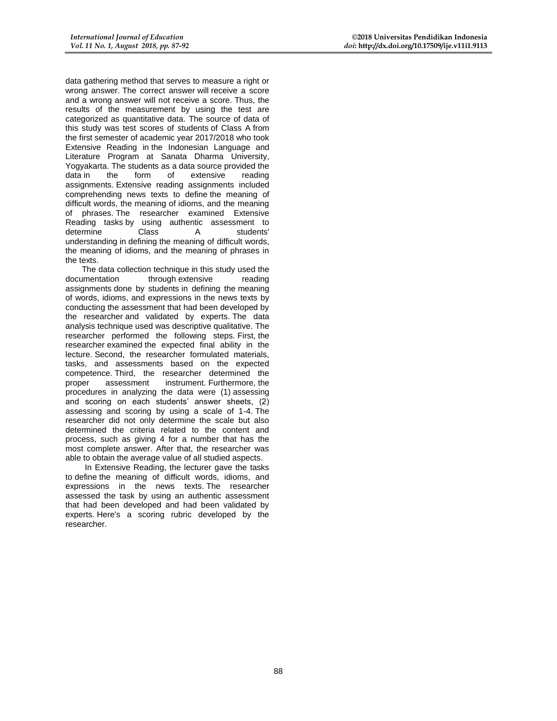data gathering method that serves to measure a right or wrong answer. The correct answer will receive a score and a wrong answer will not receive a score. Thus, the results of the measurement by using the test are categorized as quantitative data. The source of data of this study was test scores of students of Class A from the first semester of academic year 2017/2018 who took Extensive Reading in the Indonesian Language and Literature Program at Sanata Dharma University, Yogyakarta. The students as a data source provided the data in the form of extensive reading assignments. Extensive reading assignments included comprehending news texts to define the meaning of difficult words, the meaning of idioms, and the meaning of phrases. The researcher examined Extensive Reading tasks by using authentic assessment to<br>determine Class A students' determine Class A students' understanding in defining the meaning of difficult words, the meaning of idioms, and the meaning of phrases in the texts.

The data collection technique in this study used the documentation through extensive reading assignments done by students in defining the meaning of words, idioms, and expressions in the news texts by conducting the assessment that had been developed by the researcher and validated by experts. The data analysis technique used was descriptive qualitative. The researcher performed the following steps. First, the researcher examined the expected final ability in the lecture. Second, the researcher formulated materials, tasks, and assessments based on the expected competence. Third, the researcher determined the proper assessment instrument. Furthermore the assessment instrument. Furthermore, the procedures in analyzing the data were (1) assessing and scoring on each students' answer sheets, (2) assessing and scoring by using a scale of 1-4. The researcher did not only determine the scale but also determined the criteria related to the content and process, such as giving 4 for a number that has the most complete answer. After that, the researcher was able to obtain the average value of all studied aspects.

In Extensive Reading, the lecturer gave the tasks to define the meaning of difficult words, idioms, and expressions in the news texts. The researcher assessed the task by using an authentic assessment that had been developed and had been validated by experts. Here's a scoring rubric developed by the researcher.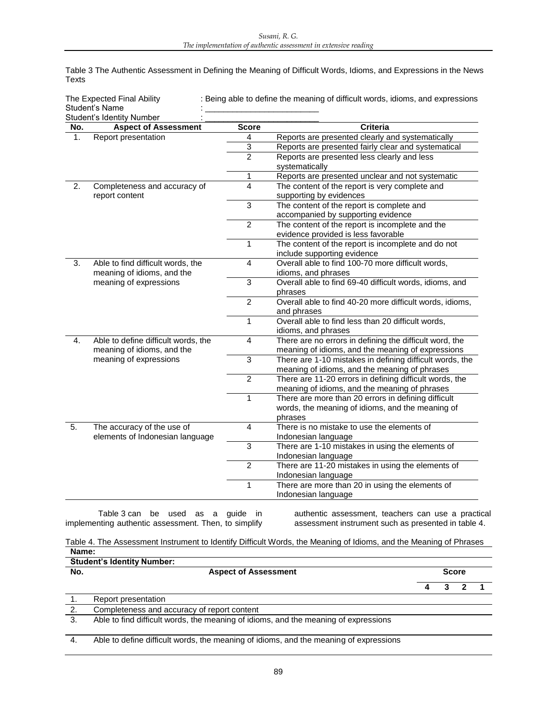Table 3 The Authentic Assessment in Defining the Meaning of Difficult Words, Idioms, and Expressions in the News Texts

| The Expected Final Ability<br><b>Student's Name</b><br>Student's Identity Number |                                     |                | : Being able to define the meaning of difficult words, idioms, and expressions |
|----------------------------------------------------------------------------------|-------------------------------------|----------------|--------------------------------------------------------------------------------|
| No.                                                                              | <b>Aspect of Assessment</b>         | <b>Score</b>   | <b>Criteria</b>                                                                |
| 1.                                                                               | Report presentation                 | $\overline{4}$ | Reports are presented clearly and systematically                               |
|                                                                                  |                                     | 3              | Reports are presented fairly clear and systematical                            |
|                                                                                  |                                     | $\overline{2}$ | Reports are presented less clearly and less                                    |
|                                                                                  |                                     |                | systematically                                                                 |
|                                                                                  |                                     | 1              | Reports are presented unclear and not systematic                               |
| 2.                                                                               | Completeness and accuracy of        | 4              | The content of the report is very complete and                                 |
|                                                                                  | report content                      |                | supporting by evidences                                                        |
|                                                                                  |                                     | $\overline{3}$ | The content of the report is complete and                                      |
|                                                                                  |                                     |                | accompanied by supporting evidence                                             |
|                                                                                  |                                     | $\overline{2}$ | The content of the report is incomplete and the                                |
|                                                                                  |                                     |                | evidence provided is less favorable                                            |
|                                                                                  |                                     | 1              | The content of the report is incomplete and do not                             |
|                                                                                  |                                     |                | include supporting evidence                                                    |
| 3.                                                                               | Able to find difficult words, the   | $\overline{4}$ | Overall able to find 100-70 more difficult words,                              |
|                                                                                  | meaning of idioms, and the          |                | idioms, and phrases                                                            |
|                                                                                  | meaning of expressions              | $\overline{3}$ | Overall able to find 69-40 difficult words, idioms, and                        |
|                                                                                  |                                     |                | phrases                                                                        |
|                                                                                  |                                     | $\overline{2}$ | Overall able to find 40-20 more difficult words, idioms,                       |
|                                                                                  |                                     | 1              | and phrases<br>Overall able to find less than 20 difficult words,              |
|                                                                                  |                                     |                | idioms, and phrases                                                            |
| 4.                                                                               | Able to define difficult words, the | $\overline{4}$ | There are no errors in defining the difficult word, the                        |
|                                                                                  | meaning of idioms, and the          |                | meaning of idioms, and the meaning of expressions                              |
|                                                                                  | meaning of expressions              | $\mathfrak{S}$ | There are 1-10 mistakes in defining difficult words, the                       |
|                                                                                  |                                     |                | meaning of idioms, and the meaning of phrases                                  |
|                                                                                  |                                     | $\overline{2}$ | There are 11-20 errors in defining difficult words, the                        |
|                                                                                  |                                     |                | meaning of idioms, and the meaning of phrases                                  |
|                                                                                  |                                     | $\mathbf{1}$   | There are more than 20 errors in defining difficult                            |
|                                                                                  |                                     |                | words, the meaning of idioms, and the meaning of                               |
|                                                                                  |                                     |                | phrases                                                                        |
| 5.                                                                               | The accuracy of the use of          | $\overline{4}$ | There is no mistake to use the elements of                                     |
|                                                                                  | elements of Indonesian language     |                | Indonesian language                                                            |
|                                                                                  |                                     | $\overline{3}$ | There are 1-10 mistakes in using the elements of                               |
|                                                                                  |                                     |                | Indonesian language                                                            |
|                                                                                  |                                     | $\overline{2}$ | There are 11-20 mistakes in using the elements of                              |
|                                                                                  |                                     |                | Indonesian language                                                            |
|                                                                                  |                                     | 1              | There are more than 20 in using the elements of                                |
|                                                                                  |                                     |                | Indonesian language                                                            |
|                                                                                  |                                     |                |                                                                                |

Table 3 can be used as a guide in implementing authentic assessment. Then, to simplify

authentic assessment, teachers can use a practical assessment instrument such as presented in table 4.

Table 4. The Assessment Instrument to Identify Difficult Words, the Meaning of Idioms, and the Meaning of Phrases **Name:**

| <b>Student's Identity Number:</b> |                                                                                       |  |              |  |  |  |  |  |
|-----------------------------------|---------------------------------------------------------------------------------------|--|--------------|--|--|--|--|--|
| No.                               | <b>Aspect of Assessment</b>                                                           |  | <b>Score</b> |  |  |  |  |  |
|                                   |                                                                                       |  |              |  |  |  |  |  |
|                                   | Report presentation                                                                   |  |              |  |  |  |  |  |
| 2.                                | Completeness and accuracy of report content                                           |  |              |  |  |  |  |  |
| 3.                                | Able to find difficult words, the meaning of idioms, and the meaning of expressions   |  |              |  |  |  |  |  |
|                                   |                                                                                       |  |              |  |  |  |  |  |
| 4.                                | Able to define difficult words, the meaning of idioms, and the meaning of expressions |  |              |  |  |  |  |  |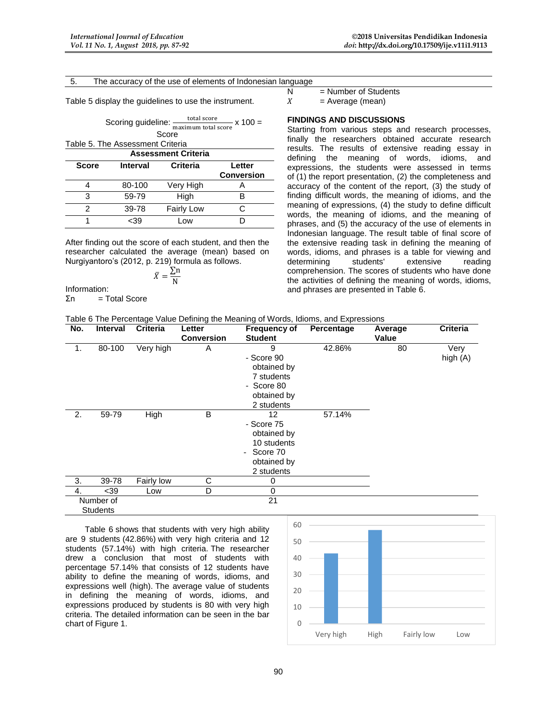|  | 5. |  | The accuracy of the use of elements of Indonesian language |
|--|----|--|------------------------------------------------------------|
|--|----|--|------------------------------------------------------------|

Table 5 display the guidelines to use the instrument.

Scoring guideline:  $\frac{\text{total score}}{\text{maximum total score}}$  x 100 = Score

Table 5. The Assessment Criteria

| <b>Assessment Criteria</b> |                 |                   |                             |  |  |  |  |
|----------------------------|-----------------|-------------------|-----------------------------|--|--|--|--|
| <b>Score</b>               | <b>Interval</b> | Criteria          | Letter<br><b>Conversion</b> |  |  |  |  |
|                            | 80-100          | Very High         |                             |  |  |  |  |
| з                          | 59-79           | High              |                             |  |  |  |  |
| 2                          | 39-78           | <b>Fairly Low</b> |                             |  |  |  |  |
|                            | -39             | 0 <sub>W</sub>    |                             |  |  |  |  |

After finding out the score of each student, and then the researcher calculated the average (mean) based on Nurgiyantoro's (2012, p. 219) formula as follows.

$$
\bar{X} = \frac{\sum n}{N}
$$

Information:

Σn = Total Score

 $N =$  Number of Students

 $X = Average (mean)$ 

### **FINDINGS AND DISCUSSIONS**

Starting from various steps and research processes, finally the researchers obtained accurate research results. The results of extensive reading essay in defining the meaning of words, idioms, and expressions, the students were assessed in terms of (1) the report presentation, (2) the completeness and accuracy of the content of the report, (3) the study of finding difficult words, the meaning of idioms, and the meaning of expressions, (4) the study to define difficult words, the meaning of idioms, and the meaning of phrases, and (5) the accuracy of the use of elements in Indonesian language. The result table of final score of the extensive reading task in defining the meaning of words, idioms, and phrases is a table for viewing and determining students' extensive reading comprehension. The scores of students who have done the activities of defining the meaning of words, idioms, and phrases are presented in Table 6.

| Table 6 The Percentage Value Defining the Meaning of Words, Idioms, and Expressions |  |  |  |
|-------------------------------------------------------------------------------------|--|--|--|
|-------------------------------------------------------------------------------------|--|--|--|

| No.             | <b>Interval</b> | <b>Criteria</b> | Letter<br><b>Conversion</b> | <b>Frequency of</b><br><b>Student</b>                                                     | Percentage | Average<br>Value | <b>Criteria</b>  |
|-----------------|-----------------|-----------------|-----------------------------|-------------------------------------------------------------------------------------------|------------|------------------|------------------|
| 1.              | 80-100          | Very high       | A                           | 9<br>- Score 90<br>obtained by<br>7 students<br>- Score 80<br>obtained by<br>2 students   | 42.86%     | 80               | Very<br>high (A) |
| 2.              | 59-79           | High            | B                           | 12<br>- Score 75<br>obtained by<br>10 students<br>- Score 70<br>obtained by<br>2 students | 57.14%     |                  |                  |
| 3.              | 39-78           | Fairly low      | С                           | 0                                                                                         |            |                  |                  |
| 4.              | $39$            | Low             | D                           | 0                                                                                         |            |                  |                  |
| Number of       |                 |                 |                             | 21                                                                                        |            |                  |                  |
| <b>Students</b> |                 |                 |                             |                                                                                           |            |                  |                  |

Table 6 shows that students with very high ability are 9 students (42.86%) with very high criteria and 12 students (57.14%) with high criteria. The researcher drew a conclusion that most of students with percentage 57.14% that consists of 12 students have ability to define the meaning of words, idioms, and expressions well (high). The average value of students in defining the meaning of words, idioms, and expressions produced by students is 80 with very high criteria. The detailed information can be seen in the bar chart of Figure 1. 0

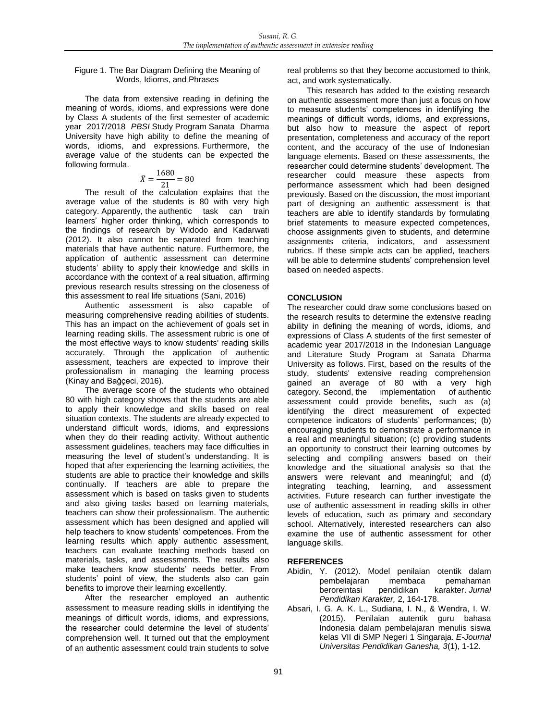#### Figure 1. The Bar Diagram Defining the Meaning of Words, Idioms, and Phrases

The data from extensive reading in defining the meaning of words, idioms, and expressions were done by Class A students of the first semester of academic year 2017/2018 *PBSI* Study Program Sanata Dharma University have high ability to define the meaning of words, idioms, and expressions. Furthermore, the average value of the students can be expected the following formula.

$$
\bar{X} = \frac{1680}{21} = 80
$$

The result of the calculation explains that the average value of the students is 80 with very high category. Apparently, the authentic task can train learners' higher order thinking, which corresponds to the findings of research by Widodo and Kadarwati (2012). It also cannot be separated from teaching materials that have authentic nature. Furthermore, the application of authentic assessment can determine students' ability to apply their knowledge and skills in accordance with the context of a real situation, affirming previous research results stressing on the closeness of this assessment to real life situations (Sani, 2016)

Authentic assessment is also capable of measuring comprehensive reading abilities of students. This has an impact on the achievement of goals set in learning reading skills. The assessment rubric is one of the most effective ways to know students' reading skills accurately. Through the application of authentic assessment, teachers are expected to improve their professionalism in managing the learning process (Kinay and Bağçeci, 2016).

The average score of the students who obtained 80 with high category shows that the students are able to apply their knowledge and skills based on real situation contexts. The students are already expected to understand difficult words, idioms, and expressions when they do their reading activity. Without authentic assessment guidelines, teachers may face difficulties in measuring the level of student's understanding. It is hoped that after experiencing the learning activities, the students are able to practice their knowledge and skills continually. If teachers are able to prepare the assessment which is based on tasks given to students and also giving tasks based on learning materials, teachers can show their professionalism. The authentic assessment which has been designed and applied will help teachers to know students' competences. From the learning results which apply authentic assessment, teachers can evaluate teaching methods based on materials, tasks, and assessments. The results also make teachers know students' needs better. From students' point of view, the students also can gain benefits to improve their learning excellently.

After the researcher employed an authentic assessment to measure reading skills in identifying the meanings of difficult words, idioms, and expressions*,*  the researcher could determine the level of students' comprehension well. It turned out that the employment of an authentic assessment could train students to solve

real problems so that they become accustomed to think, act, and work systematically.

This research has added to the existing research on authentic assessment more than just a focus on how to measure students' competences in identifying the meanings of difficult words, idioms, and expressions, but also how to measure the aspect of report presentation, completeness and accuracy of the report content, and the accuracy of the use of Indonesian language elements. Based on these assessments, the researcher could determine students' development. The researcher could measure these aspects from performance assessment which had been designed previously. Based on the discussion, the most important part of designing an authentic assessment is that teachers are able to identify standards by formulating brief statements to measure expected competences, choose assignments given to students, and determine assignments criteria, indicators, and assessment rubrics. If these simple acts can be applied, teachers will be able to determine students' comprehension level based on needed aspects.

# **CONCLUSION**

The researcher could draw some conclusions based on the research results to determine the extensive reading ability in defining the meaning of words, idioms, and expressions of Class A students of the first semester of academic year 2017/2018 in the Indonesian Language and Literature Study Program at Sanata Dharma University as follows. First, based on the results of the study, students' extensive reading comprehension gained an average of 80 with a very high category. Second, the implementation of authentic assessment could provide benefits, such as (a) identifying the direct measurement of expected competence indicators of students' performances; (b) encouraging students to demonstrate a performance in a real and meaningful situation; (c) providing students an opportunity to construct their learning outcomes by selecting and compiling answers based on their knowledge and the situational analysis so that the answers were relevant and meaningful; and (d) integrating teaching, learning, and assessment activities. Future research can further investigate the use of authentic assessment in reading skills in other levels of education, such as primary and secondary school. Alternatively, interested researchers can also examine the use of authentic assessment for other language skills.

## **REFERENCES**

- Abidin, Y. (2012). Model penilaian otentik dalam pembelajaran membaca pemahaman beroreintasi pendidikan karakter. *Jurnal Pendidikan Karakter,* 2, 164-178.
- Absari, I. G. A. K. L., Sudiana, I. N., & Wendra, I. W. (2015). Penilaian autentik guru bahasa Indonesia dalam pembelajaran menulis siswa kelas VII di SMP Negeri 1 Singaraja. *E-Journal Universitas Pendidikan Ganesha, 3*(1), 1-12.